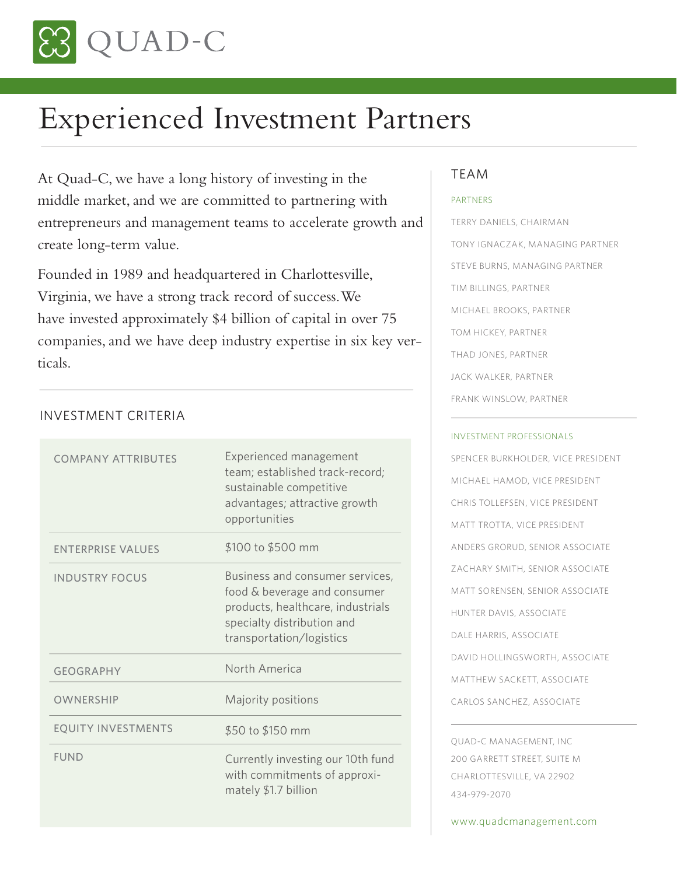

# Experienced Investment Partners

At Quad-C, we have a long history of investing in the middle market, and we are committed to partnering with entrepreneurs and management teams to accelerate growth and create long-term value.

Founded in 1989 and headquartered in Charlottesville, Virginia, we have a strong track record of success. We have invested approximately \$4 billion of capital in over 75 companies, and we have deep industry expertise in six key verticals.

## INVESTMENT CRITERIA

| <b>COMPANY ATTRIBUTES</b> | Experienced management<br>team; established track-record;<br>sustainable competitive<br>advantages; attractive growth<br>opportunities                         |
|---------------------------|----------------------------------------------------------------------------------------------------------------------------------------------------------------|
| <b>ENTERPRISE VALUES</b>  | \$100 to \$500 mm                                                                                                                                              |
| <b>INDUSTRY FOCUS</b>     | Business and consumer services,<br>food & beverage and consumer<br>products, healthcare, industrials<br>specialty distribution and<br>transportation/logistics |
| <b>GEOGRAPHY</b>          | North America                                                                                                                                                  |
| OWNERSHIP                 | Majority positions                                                                                                                                             |
| <b>EQUITY INVESTMENTS</b> | \$50 to \$150 mm                                                                                                                                               |
| <b>FUND</b>               | Currently investing our 10th fund<br>with commitments of approxi-<br>mately $$1.7$ billion                                                                     |

### TEAM

#### PARTNERS

TERRY DANIELS, CHAIRMAN TONY IGNACZAK, MANAGING PARTNER STEVE BURNS, MANAGING PARTNER TIM BILLINGS, PARTNER MICHAEL BROOKS, PARTNER TOM HICKEY, PARTNER THAD JONES, PARTNER JACK WALKER, PARTNER FRANK WINSLOW, PARTNER

#### INVESTMENT PROFESSIONALS

SPENCER BURKHOLDER, VICE PRESIDENT MICHAEL HAMOD, VICE PRESIDENT CHRIS TOLLEFSEN, VICE PRESIDENT MATT TROTTA, VICE PRESIDENT ANDERS GRORUD, SENIOR ASSOCIATE ZACHARY SMITH, SENIOR ASSOCIATE MATT SORENSEN, SENIOR ASSOCIATE HUNTER DAVIS, ASSOCIATE DALE HARRIS, ASSOCIATE DAVID HOLLINGSWORTH, ASSOCIATE MATTHEW SACKETT, ASSOCIATE CARLOS SANCHEZ, ASSOCIATE

QUAD-C MANAGEMENT, INC 200 GARRETT STREET, SUITE M CHARLOTTESVILLE, VA 22902 434-979-2070

www.quadcmanagement.com